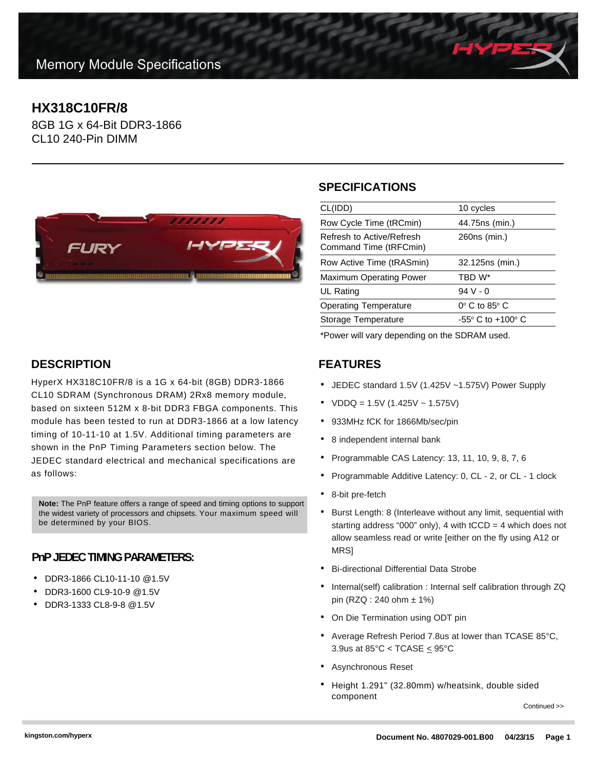# **HX318C10FR/8**

8GB 1G x 64-Bit DDR3-1866 CL10 240-Pin DIMM



#### **SPECIFICATIONS**

| CL(IDD)                                             | 10 cycles                           |
|-----------------------------------------------------|-------------------------------------|
| Row Cycle Time (tRCmin)                             | 44.75ns (min.)                      |
| Refresh to Active/Refresh<br>Command Time (tRFCmin) | 260ns (min.)                        |
| Row Active Time (tRASmin)                           | 32.125ns (min.)                     |
| <b>Maximum Operating Power</b>                      | TBD W*                              |
| UL Rating                                           | $94V - 0$                           |
| <b>Operating Temperature</b>                        | $0^\circ$ C to 85 $^\circ$ C        |
| Storage Temperature                                 | $-55^{\circ}$ C to $+100^{\circ}$ C |
|                                                     |                                     |

\*Power will vary depending on the SDRAM used.

#### **FEATURES**

- JEDEC standard 1.5V (1.425V ~1.575V) Power Supply
- $VDDQ = 1.5V (1.425V 1.575V)$
- 933MHz fCK for 1866Mb/sec/pin
- 8 independent internal bank
- Programmable CAS Latency: 13, 11, 10, 9, 8, 7, 6
- Programmable Additive Latency: 0, CL 2, or CL 1 clock
- 8-bit pre-fetch
- Burst Length: 8 (Interleave without any limit, sequential with starting address "000" only), 4 with  $tCCD = 4$  which does not allow seamless read or write [either on the fly using A12 or **MRS1**
- Bi-directional Differential Data Strobe
- Internal(self) calibration : Internal self calibration through ZQ pin (RZQ : 240 ohm ± 1%)
- On Die Termination using ODT pin
- Average Refresh Period 7.8us at lower than TCASE 85°C, 3.9us at  $85^{\circ}$ C < TCASE  $\leq$  95 $^{\circ}$ C
- Asynchronous Reset
- Height 1.291" (32.80mm) w/heatsink, double sided component

Continued >>

### **DESCRIPTION**

HyperX HX318C10FR/8 is a 1G x 64-bit (8GB) DDR3-1866 CL10 SDRAM (Synchronous DRAM) 2Rx8 memory module, based on sixteen 512M x 8-bit DDR3 FBGA components. This module has been tested to run at DDR3-1866 at a low latency timing of 10-11-10 at 1.5V. Additional timing parameters are shown in the PnP Timing Parameters section below. The JEDEC standard electrical and mechanical specifications are as follows:

**Note:** The PnP feature offers a range of speed and timing options to support the widest variety of processors and chipsets. Your maximum speed will be determined by your BIOS.

#### **PnP JEDEC TIMING PARAMETERS:**

- DDR3-1866 CL10-11-10 @1.5V
- DDR3-1600 CL9-10-9 @1.5V
- DDR3-1333 CL8-9-8 @1.5V